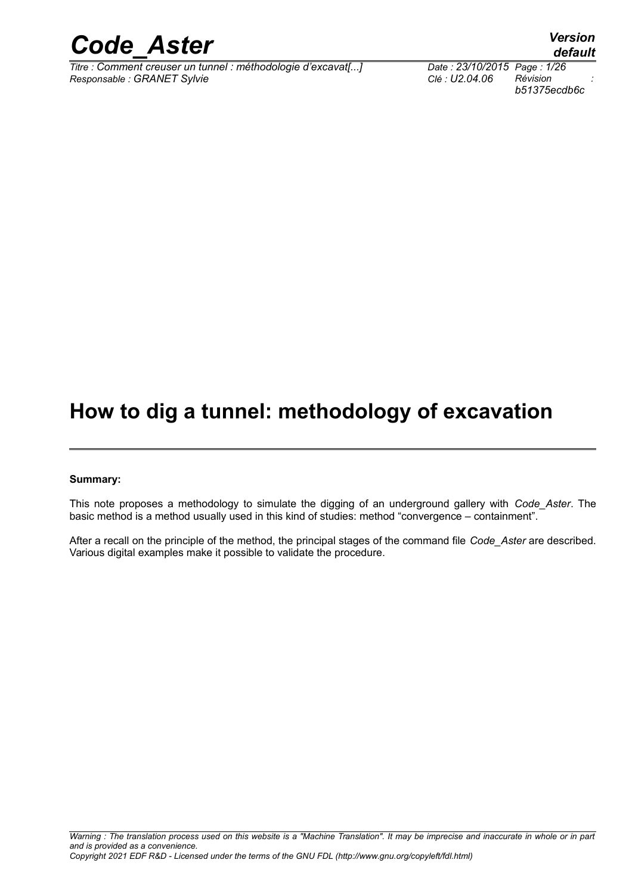

*Titre : Comment creuser un tunnel : méthodologie d'excavat[...] Date : 23/10/2015 Page : 1/26*  $Responsible : GRANET$  Sylvie

*b51375ecdb6c*

*default*

## **How to dig a tunnel: methodology of excavation**

#### **Summary:**

This note proposes a methodology to simulate the digging of an underground gallery with *Code\_Aster*. The basic method is a method usually used in this kind of studies: method "convergence – containment".

After a recall on the principle of the method, the principal stages of the command file *Code\_Aster* are described. Various digital examples make it possible to validate the procedure.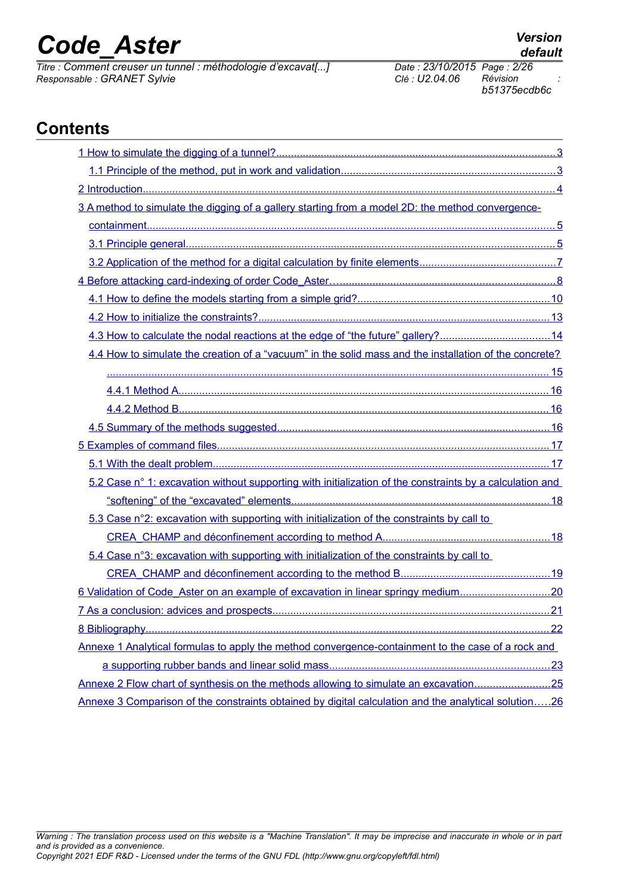*Titre : Comment creuser un tunnel : méthodologie d'excavat[...] Date : 23/10/2015 Page : 2/26*  $Responsible : GRANET$  Sylvie

*b51375ecdb6c*

## **Contents**

| 3 A method to simulate the digging of a gallery starting from a model 2D: the method convergence-        |
|----------------------------------------------------------------------------------------------------------|
|                                                                                                          |
|                                                                                                          |
|                                                                                                          |
|                                                                                                          |
|                                                                                                          |
|                                                                                                          |
| 4.3 How to calculate the nodal reactions at the edge of "the future" gallery?14                          |
| 4.4 How to simulate the creation of a "vacuum" in the solid mass and the installation of the concrete?   |
|                                                                                                          |
|                                                                                                          |
|                                                                                                          |
|                                                                                                          |
|                                                                                                          |
|                                                                                                          |
| 5.2 Case n° 1: excavation without supporting with initialization of the constraints by a calculation and |
|                                                                                                          |
| 5.3 Case n°2: excavation with supporting with initialization of the constraints by call to               |
|                                                                                                          |
| 5.4 Case n°3: excavation with supporting with initialization of the constraints by call to               |
|                                                                                                          |
| 6 Validation of Code_Aster on an example of excavation in linear springy medium20                        |
| 7 As a conclusion: advices and prospects.<br><u>.21</u>                                                  |
|                                                                                                          |
| Annexe 1 Analytical formulas to apply the method convergence-containment to the case of a rock and       |
|                                                                                                          |
| Annexe 2 Flow chart of synthesis on the methods allowing to simulate an excavation25                     |
| Annexe 3 Comparison of the constraints obtained by digital calculation and the analytical solution26     |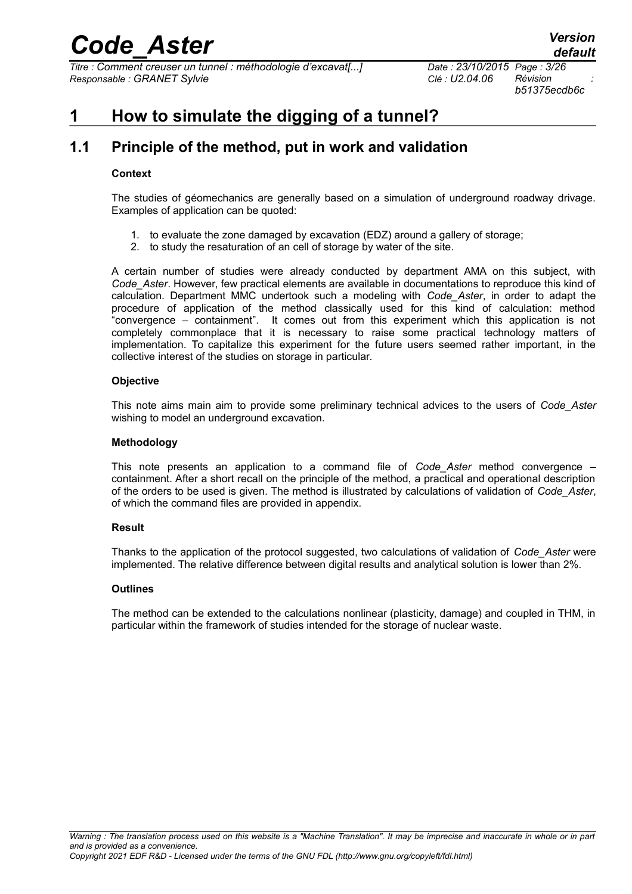*Titre : Comment creuser un tunnel : méthodologie d'excavat[...] Date : 23/10/2015 Page : 3/26 Responsable : GRANET Sylvie Clé : U2.04.06 Révision :*

*b51375ecdb6c*

## <span id="page-2-1"></span>**1 How to simulate the digging of a tunnel?**

## **1.1 Principle of the method, put in work and validation**

#### <span id="page-2-0"></span>**Context**

The studies of géomechanics are generally based on a simulation of underground roadway drivage. Examples of application can be quoted:

- 1. to evaluate the zone damaged by excavation (EDZ) around a gallery of storage;
- 2. to study the resaturation of an cell of storage by water of the site.

A certain number of studies were already conducted by department AMA on this subject, with *Code\_Aster*. However, few practical elements are available in documentations to reproduce this kind of calculation. Department MMC undertook such a modeling with *Code\_Aster*, in order to adapt the procedure of application of the method classically used for this kind of calculation: method "convergence – containment". It comes out from this experiment which this application is not completely commonplace that it is necessary to raise some practical technology matters of implementation. To capitalize this experiment for the future users seemed rather important, in the collective interest of the studies on storage in particular.

#### **Objective**

This note aims main aim to provide some preliminary technical advices to the users of *Code\_Aster* wishing to model an underground excavation.

#### **Methodology**

This note presents an application to a command file of *Code\_Aster* method convergence – containment. After a short recall on the principle of the method, a practical and operational description of the orders to be used is given. The method is illustrated by calculations of validation of *Code\_Aster*, of which the command files are provided in appendix.

### **Result**

Thanks to the application of the protocol suggested, two calculations of validation of *Code\_Aster* were implemented. The relative difference between digital results and analytical solution is lower than 2%.

### **Outlines**

The method can be extended to the calculations nonlinear (plasticity, damage) and coupled in THM, in particular within the framework of studies intended for the storage of nuclear waste.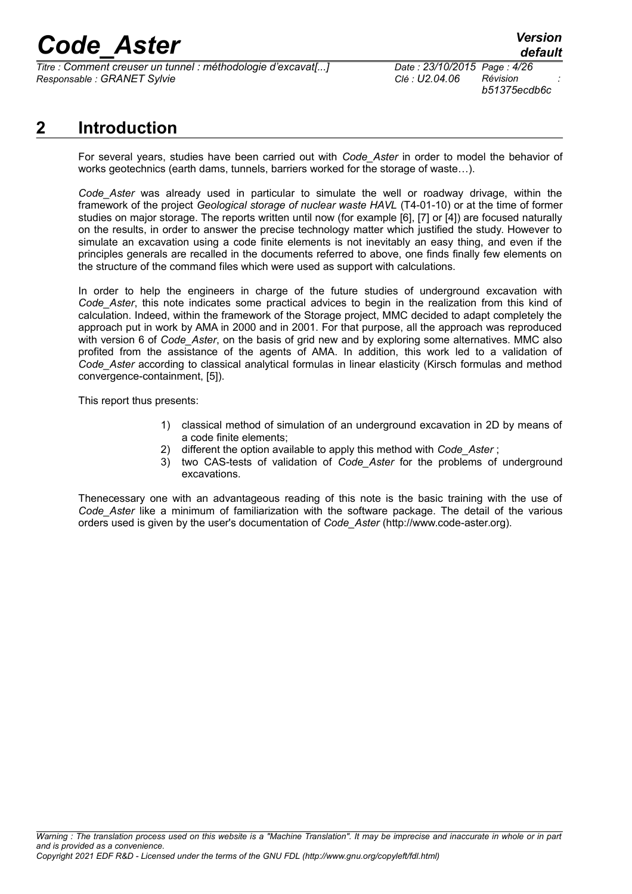*Titre : Comment creuser un tunnel : méthodologie d'excavat[...] Date : 23/10/2015 Page : 4/26 Responsable : GRANET Sylvie Clé : U2.04.06 Révision :*

*b51375ecdb6c*

## **2 Introduction**

<span id="page-3-0"></span>For several years, studies have been carried out with *Code\_Aster* in order to model the behavior of works geotechnics (earth dams, tunnels, barriers worked for the storage of waste…).

*Code\_Aster* was already used in particular to simulate the well or roadway drivage, within the framework of the project *Geological storage of nuclear waste HAVL* (T4-01-10) or at the time of former studies on major storage. The reports written until now (for example [6], [7] or [4]) are focused naturally on the results, in order to answer the precise technology matter which justified the study. However to simulate an excavation using a code finite elements is not inevitably an easy thing, and even if the principles generals are recalled in the documents referred to above, one finds finally few elements on the structure of the command files which were used as support with calculations.

In order to help the engineers in charge of the future studies of underground excavation with *Code\_Aster*, this note indicates some practical advices to begin in the realization from this kind of calculation. Indeed, within the framework of the Storage project, MMC decided to adapt completely the approach put in work by AMA in 2000 and in 2001. For that purpose, all the approach was reproduced with version 6 of *Code\_Aster*, on the basis of grid new and by exploring some alternatives. MMC also profited from the assistance of the agents of AMA. In addition, this work led to a validation of *Code\_Aster* according to classical analytical formulas in linear elasticity (Kirsch formulas and method convergence-containment, [5]).

This report thus presents:

- 1) classical method of simulation of an underground excavation in 2D by means of a code finite elements;
- 2) different the option available to apply this method with *Code\_Aster* ;
- 3) two CAS-tests of validation of *Code\_Aster* for the problems of underground excavations.

Thenecessary one with an advantageous reading of this note is the basic training with the use of *Code\_Aster* like a minimum of familiarization with the software package. The detail of the various orders used is given by the user's documentation of *Code\_Aster* (http://www.code-aster.org).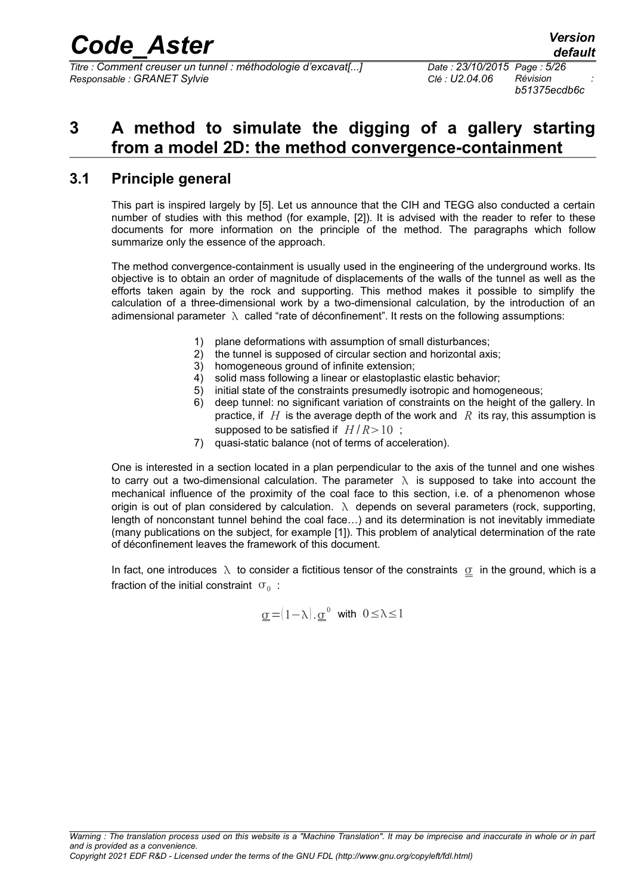*Titre : Comment creuser un tunnel : méthodologie d'excavat[...] Date : 23/10/2015 Page : 5/26 Responsable : GRANET Sylvie Clé : U2.04.06 Révision :*

*b51375ecdb6c*

## <span id="page-4-1"></span>**3 A method to simulate the digging of a gallery starting from a model 2D: the method convergence-containment**

### **3.1 Principle general**

<span id="page-4-0"></span>This part is inspired largely by [5]. Let us announce that the CIH and TEGG also conducted a certain number of studies with this method (for example, [2]). It is advised with the reader to refer to these documents for more information on the principle of the method. The paragraphs which follow summarize only the essence of the approach.

The method convergence-containment is usually used in the engineering of the underground works. Its objective is to obtain an order of magnitude of displacements of the walls of the tunnel as well as the efforts taken again by the rock and supporting. This method makes it possible to simplify the calculation of a three-dimensional work by a two-dimensional calculation, by the introduction of an adimensional parameter  $\lambda$  called "rate of déconfinement". It rests on the following assumptions:

- 1) plane deformations with assumption of small disturbances;
- 2) the tunnel is supposed of circular section and horizontal axis;
- 3) homogeneous ground of infinite extension;
- 4) solid mass following a linear or elastoplastic elastic behavior;
- 5) initial state of the constraints presumedly isotropic and homogeneous;
- 6) deep tunnel: no significant variation of constraints on the height of the gallery. In practice, if *H* is the average depth of the work and *R* its ray, this assumption is supposed to be satisfied if  $H/R > 10$ ;
- 7) quasi-static balance (not of terms of acceleration).

One is interested in a section located in a plan perpendicular to the axis of the tunnel and one wishes to carry out a two-dimensional calculation. The parameter  $\lambda$  is supposed to take into account the mechanical influence of the proximity of the coal face to this section, i.e. of a phenomenon whose origin is out of plan considered by calculation.  $\lambda$  depends on several parameters (rock, supporting, length of nonconstant tunnel behind the coal face…) and its determination is not inevitably immediate (many publications on the subject, for example [1]). This problem of analytical determination of the rate of déconfinement leaves the framework of this document.

In fact, one introduces  $\lambda$  to consider a fictitious tensor of the constraints  $\sigma$  in the ground, which is a fraction of the initial constraint  $|\sigma_{0}|$ :

$$
\underline{\sigma} = (1 - \lambda) \cdot \underline{\sigma}^0 \quad \text{with} \quad 0 \le \lambda \le 1
$$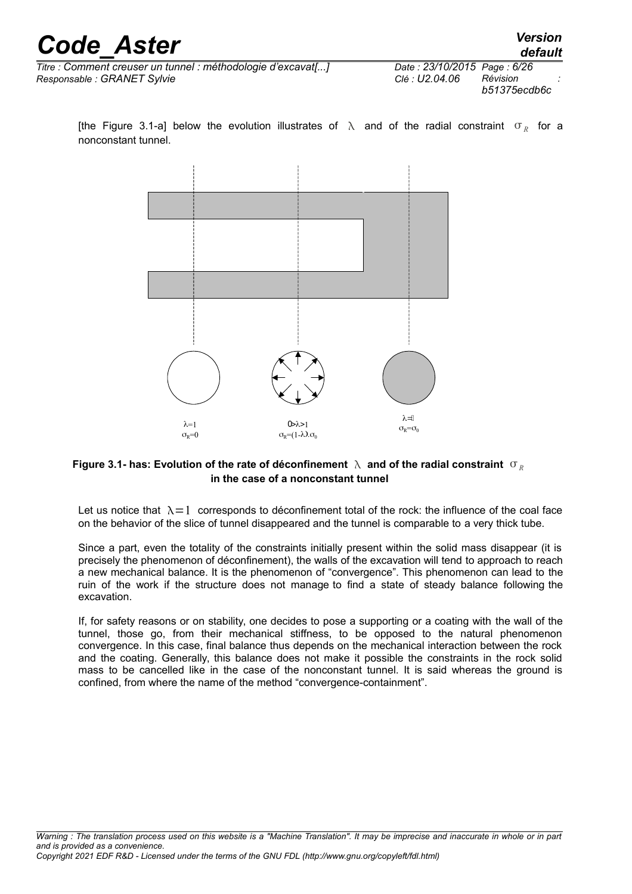*default*

 $\overline{T}$ itre : Comment creuser un tunnel : méthodologie d'excavat[...] *Responsable : GRANET Sylvie* 

| Date: 23/10/2015 Page: 6/26 |              |  |
|-----------------------------|--------------|--|
| Clé : U2.04.06              | Révision     |  |
|                             | b51375ecdb6c |  |

[the Figure 3.1-a] below the evolution illustrates of  $\lambda$  and of the radial constraint  $\sigma_R^{\parallel}$  for a nonconstant tunnel.



### Figure 3.1- has: Evolution of the rate of déconfinement  $\lambda$  and of the radial constraint  $\sigma_{\nu}$ **in the case of a nonconstant tunnel**

Let us notice that  $\lambda = 1$  corresponds to déconfinement total of the rock: the influence of the coal face on the behavior of the slice of tunnel disappeared and the tunnel is comparable to a very thick tube.

Since a part, even the totality of the constraints initially present within the solid mass disappear (it is precisely the phenomenon of déconfinement), the walls of the excavation will tend to approach to reach a new mechanical balance. It is the phenomenon of "convergence". This phenomenon can lead to the ruin of the work if the structure does not manage to find a state of steady balance following the excavation.

If, for safety reasons or on stability, one decides to pose a supporting or a coating with the wall of the tunnel, those go, from their mechanical stiffness, to be opposed to the natural phenomenon convergence. In this case, final balance thus depends on the mechanical interaction between the rock and the coating. Generally, this balance does not make it possible the constraints in the rock solid mass to be cancelled like in the case of the nonconstant tunnel. It is said whereas the ground is confined, from where the name of the method "convergence-containment".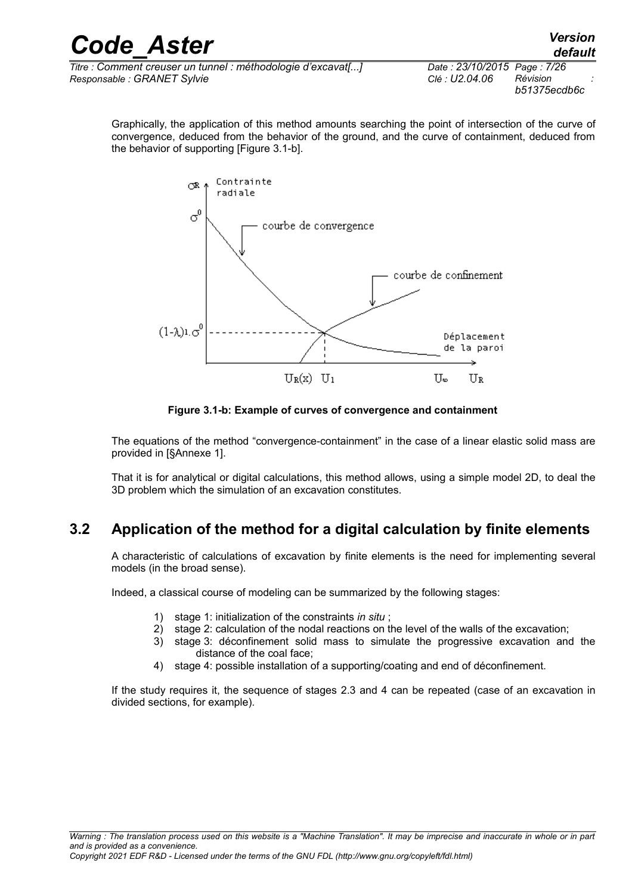| <b>Code Aster</b>                                            |                             | <b>Version</b><br>default |
|--------------------------------------------------------------|-----------------------------|---------------------------|
| Titre : Comment creuser un tunnel : méthodologie d'excavat[] | Date: 23/10/2015 Page: 7/26 |                           |
| Responsable : GRANET Sylvie                                  | Clé : U2.04.06              | Révision                  |

Graphically, the application of this method amounts searching the point of intersection of the curve of convergence, deduced from the behavior of the ground, and the curve of containment, deduced from the behavior of supporting [Figure 3.1-b].

*b51375ecdb6c*



**Figure 3.1-b: Example of curves of convergence and containment**

The equations of the method "convergence-containment" in the case of a linear elastic solid mass are provided in [§Annexe 1].

That it is for analytical or digital calculations, this method allows, using a simple model 2D, to deal the 3D problem which the simulation of an excavation constitutes.

## **3.2 Application of the method for a digital calculation by finite elements**

<span id="page-6-0"></span>A characteristic of calculations of excavation by finite elements is the need for implementing several models (in the broad sense).

Indeed, a classical course of modeling can be summarized by the following stages:

- 1) stage 1: initialization of the constraints *in situ* ;
- 2) stage 2: calculation of the nodal reactions on the level of the walls of the excavation;
- 3) stage 3: déconfinement solid mass to simulate the progressive excavation and the distance of the coal face;
- 4) stage 4: possible installation of a supporting/coating and end of déconfinement.

If the study requires it, the sequence of stages 2.3 and 4 can be repeated (case of an excavation in divided sections, for example).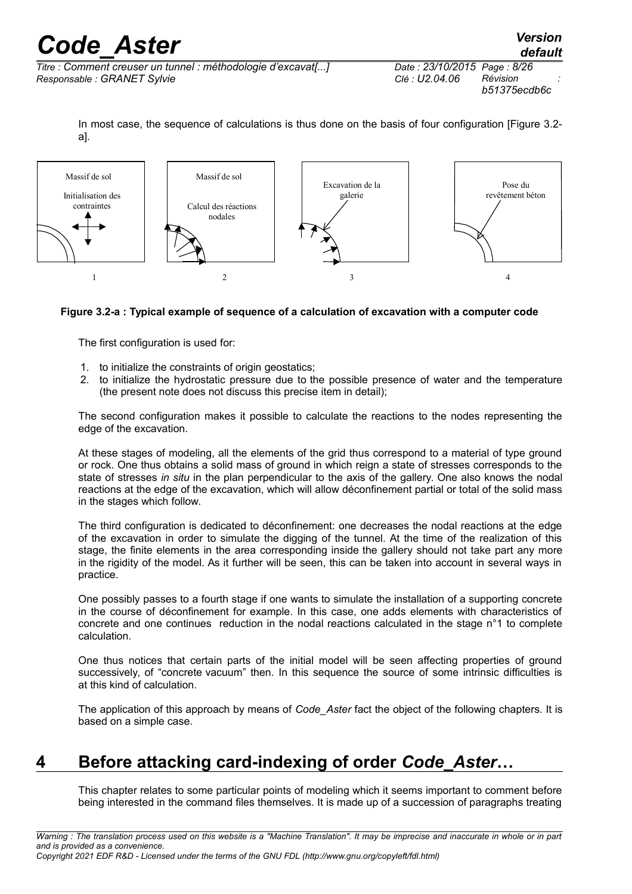*default*

*Titre : Comment creuser un tunnel : méthodologie d'excavat[...] Date : 23/10/2015 Page : 8/26 Responsable : GRANET Sylvie Clé : U2.04.06 Révision :*

In most case, the sequence of calculations is thus done on the basis of four configuration [Figure 3.2a].



### **Figure 3.2-a : Typical example of sequence of a calculation of excavation with a computer code**

The first configuration is used for:

- 1. to initialize the constraints of origin geostatics:
- 2. to initialize the hydrostatic pressure due to the possible presence of water and the temperature (the present note does not discuss this precise item in detail);

The second configuration makes it possible to calculate the reactions to the nodes representing the edge of the excavation.

At these stages of modeling, all the elements of the grid thus correspond to a material of type ground or rock. One thus obtains a solid mass of ground in which reign a state of stresses corresponds to the state of stresses *in situ* in the plan perpendicular to the axis of the gallery. One also knows the nodal reactions at the edge of the excavation, which will allow déconfinement partial or total of the solid mass in the stages which follow.

The third configuration is dedicated to déconfinement: one decreases the nodal reactions at the edge of the excavation in order to simulate the digging of the tunnel. At the time of the realization of this stage, the finite elements in the area corresponding inside the gallery should not take part any more in the rigidity of the model. As it further will be seen, this can be taken into account in several ways in practice.

One possibly passes to a fourth stage if one wants to simulate the installation of a supporting concrete in the course of déconfinement for example. In this case, one adds elements with characteristics of concrete and one continues reduction in the nodal reactions calculated in the stage n°1 to complete calculation.

One thus notices that certain parts of the initial model will be seen affecting properties of ground successively, of "concrete vacuum" then. In this sequence the source of some intrinsic difficulties is at this kind of calculation.

The application of this approach by means of *Code\_Aster* fact the object of the following chapters. It is based on a simple case.

## **4 Before attacking card-indexing of order** *Code\_Aster***…**

<span id="page-7-0"></span>This chapter relates to some particular points of modeling which it seems important to comment before being interested in the command files themselves. It is made up of a succession of paragraphs treating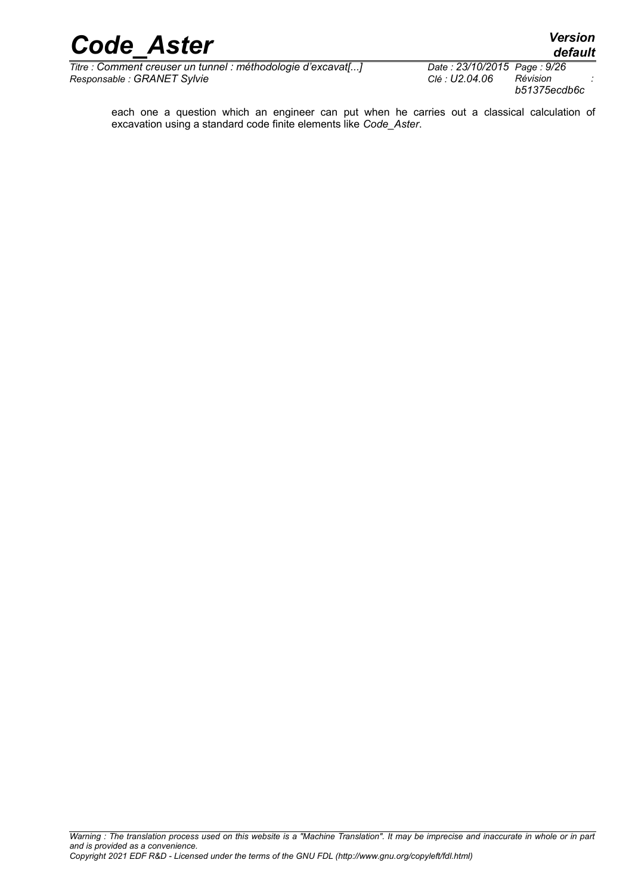*Titre : Comment creuser un tunnel : méthodologie d'excavat[...] Date : 23/10/2015 Page : 9/*<br>Responsable : GRANET Sylvie *Date : D2.04.06* Révision  $Responsible : GRANET$  Sylvie

*default*<br>*Date : 23/10/2015 Page : 9/26 b51375ecdb6c*

each one a question which an engineer can put when he carries out a classical calculation of excavation using a standard code finite elements like *Code\_Aster*.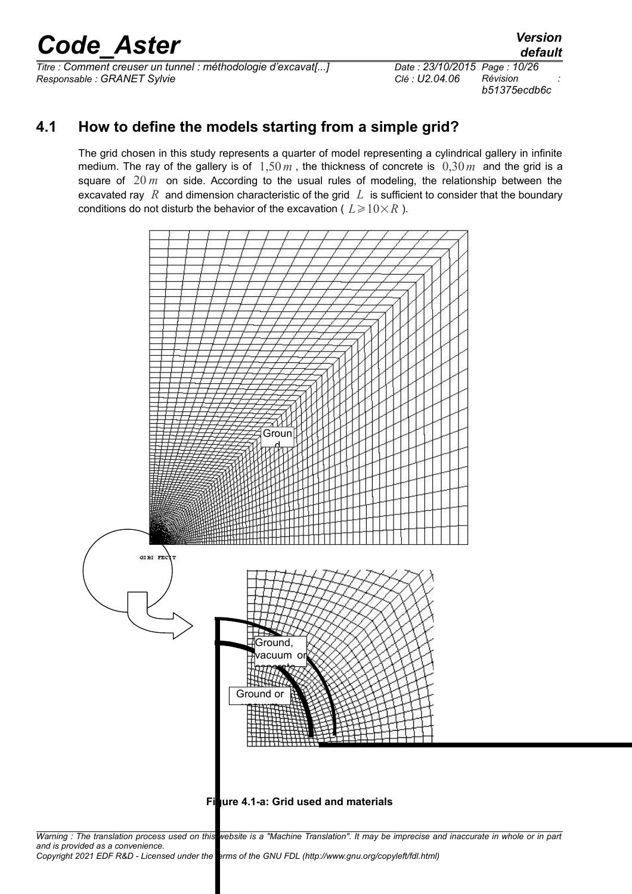*Titre : Comment creuser un tunnel : méthodologie d'excavat[...] Date : 23/10/2015 Page : 10/26 Responsable : GRANET Sylvie* 

*b51375ecdb6c*

## **4.1 How to define the models starting from a simple grid?**

<span id="page-9-0"></span>The grid chosen in this study represents a quarter of model representing a cylindrical gallery in infinite medium. The ray of the gallery is of 1,50*m* , the thickness of concrete is 0,30*m* and the grid is a square of 20 *m* on side. According to the usual rules of modeling, the relationship between the excavated ray *R* and dimension characteristic of the grid *L* is sufficient to consider that the boundary conditions do not disturb the behavior of the excavation (  $L \geqslant 10\!\times\!R$  ).



**Figure 4.1-a: Grid used and materials**

*Warning : The translation process used on this website is a "Machine Translation". It may be imprecise and inaccurate in whole or in part and is provided as a convenience. Copyright 2021 EDF R&D - Licensed under the terms of the GNU FDL (http://www.gnu.org/copyleft/fdl.html)*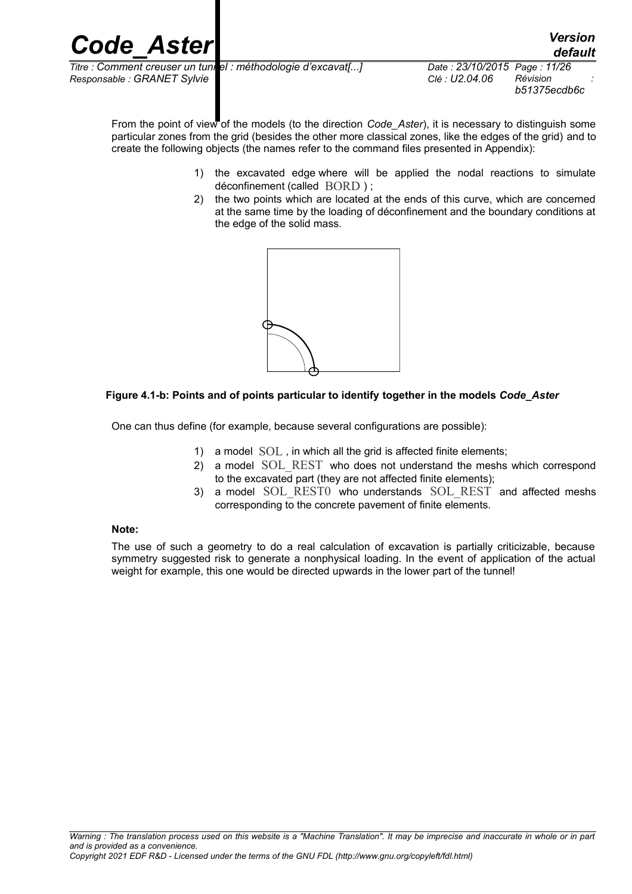

*b51375ecdb6c*

From the point of view of the models (to the direction *Code Aster*), it is necessary to distinguish some particular zones from the grid (besides the other more classical zones, like the edges of the grid) and to create the following objects (the names refer to the command files presented in Appendix):

- 1) the excavated edge where will be applied the nodal reactions to simulate déconfinement (called BORD ) ;
- 2) the two points which are located at the ends of this curve, which are concerned at the same time by the loading of déconfinement and the boundary conditions at the edge of the solid mass.



### **Figure 4.1-b: Points and of points particular to identify together in the models** *Code\_Aster*

One can thus define (for example, because several configurations are possible):

- 1) a model SOL, in which all the grid is affected finite elements;
- 2) a model SOL REST who does not understand the meshs which correspond to the excavated part (they are not affected finite elements);
- 3) a model SOL\_REST0 who understands SOL\_REST and affected meshs corresponding to the concrete pavement of finite elements.

#### **Note:**

The use of such a geometry to do a real calculation of excavation is partially criticizable, because symmetry suggested risk to generate a nonphysical loading. In the event of application of the actual weight for example, this one would be directed upwards in the lower part of the tunnel!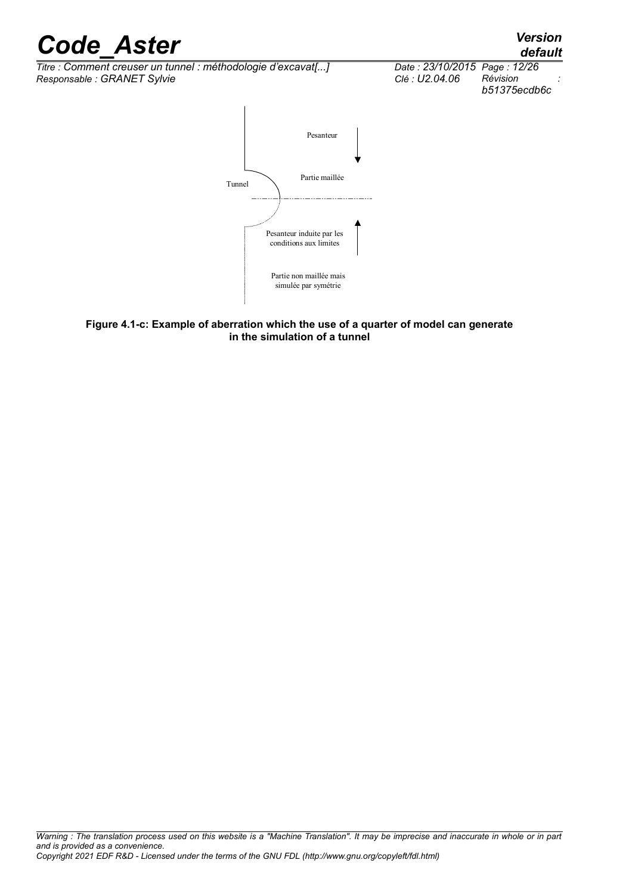*Titre : Comment creuser un tunnel : méthodologie d'excavat[...] Date : 23/10/2015 Page : 1.*<br>Responsable : GRANET Sylvie *Date : D2.04.06* Révision  $Responsible : GRANET$  Sylvie





**Figure 4.1-c: Example of aberration which the use of a quarter of model can generate in the simulation of a tunnel**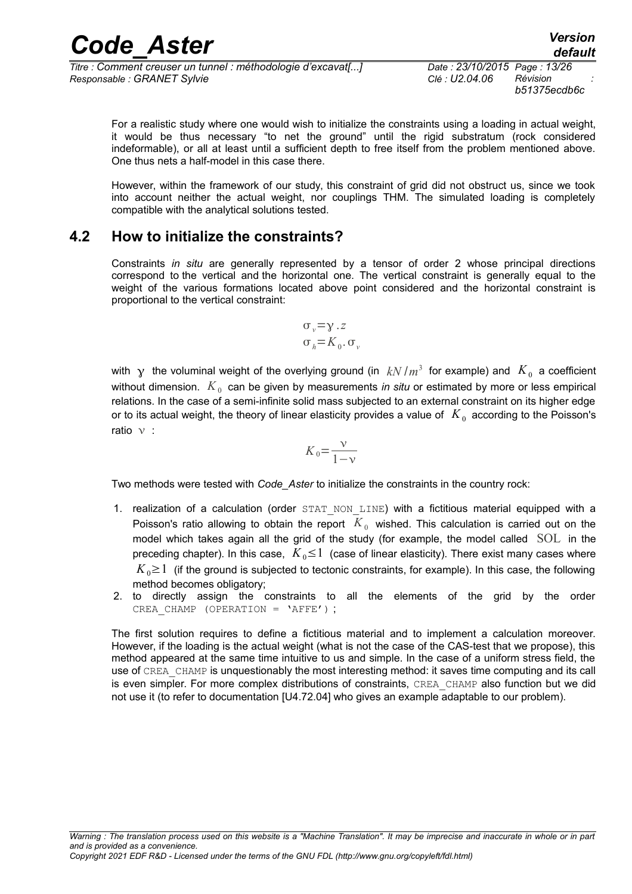| <b>Code Aster</b>                                            | <b>Version</b><br>default    |
|--------------------------------------------------------------|------------------------------|
| Titre : Comment creuser un tunnel : méthodologie d'excavat[] | Date: 23/10/2015 Page: 13/26 |

*Titre : Comment creuser un tunnel : méthodologie d'excavat[...] Date : 23/10/2015 Page : 13/26 Responsable : GRANET Sylvie Clé : U2.04.06 Révision : b51375ecdb6c*

For a realistic study where one would wish to initialize the constraints using a loading in actual weight, it would be thus necessary "to net the ground" until the rigid substratum (rock considered indeformable), or all at least until a sufficient depth to free itself from the problem mentioned above. One thus nets a half-model in this case there.

However, within the framework of our study, this constraint of grid did not obstruct us, since we took into account neither the actual weight, nor couplings THM. The simulated loading is completely compatible with the analytical solutions tested.

### **4.2 How to initialize the constraints?**

<span id="page-12-0"></span>Constraints *in situ* are generally represented by a tensor of order 2 whose principal directions correspond to the vertical and the horizontal one. The vertical constraint is generally equal to the weight of the various formations located above point considered and the horizontal constraint is proportional to the vertical constraint:

$$
\sigma_{v} = \gamma . z
$$
  

$$
\sigma_{h} = K_0 . \sigma_{v}
$$

with  $\, {\bf y} \,$  the voluminal weight of the overlying ground (in  $\, kN\, /m^3 \,$  for example) and  $\, K_{\,0} \,$  a coefficient without dimension.  $\,K_{\,0}\,$  can be given by measurements *in situ* or estimated by more or less empirical relations. In the case of a semi-infinite solid mass subjected to an external constraint on its higher edge or to its actual weight, the theory of linear elasticity provides a value of  $K_0$  according to the Poisson's ratio  $v$  :

$$
K_0 = \frac{\nu}{1 - \nu}
$$

Two methods were tested with *Code\_Aster* to initialize the constraints in the country rock:

- 1. realization of a calculation (order STAT NON LINE) with a fictitious material equipped with a Poisson's ratio allowing to obtain the report  $|K_{0}|$  wished. This calculation is carried out on the model which takes again all the grid of the study (for example, the model called SOL in the preceding chapter). In this case,  $K_0 \leq 1$  (case of linear elasticity). There exist many cases where  $K_0 \geq 1$  (if the ground is subjected to tectonic constraints, for example). In this case, the following method becomes obligatory;
- 2. to directly assign the constraints to all the elements of the grid by the order CREA\_CHAMP (OPERATION = 'AFFE') ;

The first solution requires to define a fictitious material and to implement a calculation moreover. However, if the loading is the actual weight (what is not the case of the CAS-test that we propose), this method appeared at the same time intuitive to us and simple. In the case of a uniform stress field, the use of CREA\_CHAMP is unquestionably the most interesting method: it saves time computing and its call is even simpler. For more complex distributions of constraints, CREA\_CHAMP also function but we did not use it (to refer to documentation [U4.72.04] who gives an example adaptable to our problem).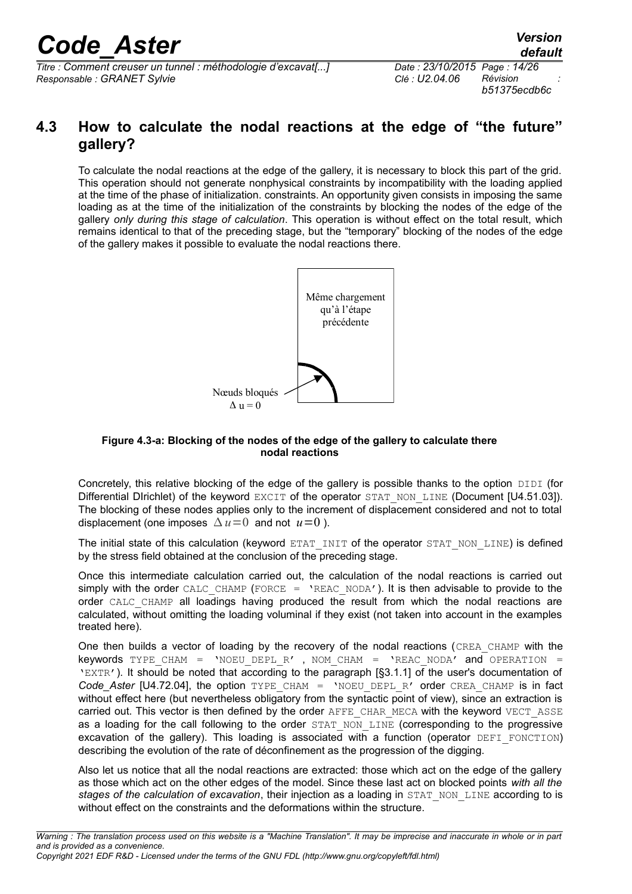*Titre : Comment creuser un tunnel : méthodologie d'excavat[...] Date : 23/10/2015 Page : 14/26 Responsable : GRANET Sylvie Clé : U2.04.06 Révision :*

*b51375ecdb6c*

## <span id="page-13-0"></span>**4.3 How to calculate the nodal reactions at the edge of "the future" gallery?**

To calculate the nodal reactions at the edge of the gallery, it is necessary to block this part of the grid. This operation should not generate nonphysical constraints by incompatibility with the loading applied at the time of the phase of initialization. constraints. An opportunity given consists in imposing the same loading as at the time of the initialization of the constraints by blocking the nodes of the edge of the gallery *only during this stage of calculation*. This operation is without effect on the total result, which remains identical to that of the preceding stage, but the "temporary" blocking of the nodes of the edge of the gallery makes it possible to evaluate the nodal reactions there.



#### **Figure 4.3-a: Blocking of the nodes of the edge of the gallery to calculate there nodal reactions**

Concretely, this relative blocking of the edge of the gallery is possible thanks to the option DIDI (for Differential Dirichlet) of the keyword EXCIT of the operator STAT\_NON\_LINE (Document [U4.51.03]). The blocking of these nodes applies only to the increment of displacement considered and not to total displacement (one imposes  $\Delta u = 0$  and not  $u = 0$ ).

The initial state of this calculation (keyword ETAT\_INIT of the operator STAT\_NON\_LINE) is defined by the stress field obtained at the conclusion of the preceding stage.

Once this intermediate calculation carried out, the calculation of the nodal reactions is carried out simply with the order CALC\_CHAMP (FORCE =  $'REACNODA'$ ). It is then advisable to provide to the order CALC CHAMP all loadings having produced the result from which the nodal reactions are calculated, without omitting the loading voluminal if they exist (not taken into account in the examples treated here).

One then builds a vector of loading by the recovery of the nodal reactions (CREA\_CHAMP with the keywords TYPE CHAM = 'NOEU DEPL R' , NOM CHAM = 'REAC NODA' and OPERATION = 'EXTR'). It should be noted that according to the paragraph [§3.1.1] of the user's documentation of Code Aster [U4.72.04], the option TYPE CHAM = 'NOEU DEPL R' order CREA CHAMP is in fact without effect here (but nevertheless obligatory from the syntactic point of view), since an extraction is carried out. This vector is then defined by the order AFFE\_CHAR\_MECA with the keyword VECT\_ASSE as a loading for the call following to the order STAT NON LINE (corresponding to the progressive excavation of the gallery). This loading is associated with a function (operator DEFI\_FONCTION) describing the evolution of the rate of déconfinement as the progression of the digging.

Also let us notice that all the nodal reactions are extracted: those which act on the edge of the gallery as those which act on the other edges of the model. Since these last act on blocked points *with all the stages of the calculation of excavation*, their injection as a loading in STAT\_NON\_LINE according to is without effect on the constraints and the deformations within the structure.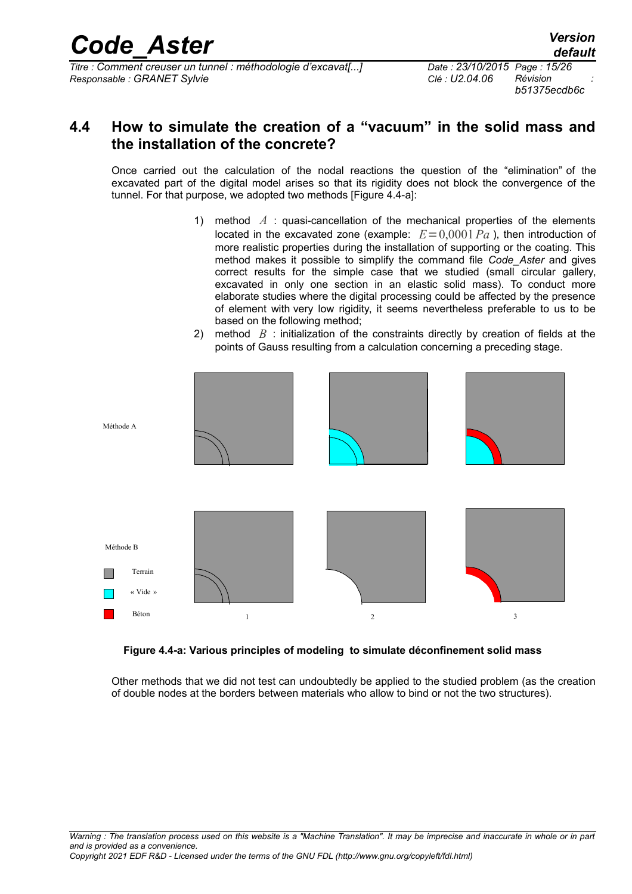*Titre : Comment creuser un tunnel : méthodologie d'excavat[...] Date : 23/10/2015 Page : 15/26 Responsable : GRANET Sylvie Clé : U2.04.06 Révision :*

*b51375ecdb6c*

### <span id="page-14-0"></span>**4.4 How to simulate the creation of a "vacuum" in the solid mass and the installation of the concrete?**

Once carried out the calculation of the nodal reactions the question of the "elimination" of the excavated part of the digital model arises so that its rigidity does not block the convergence of the tunnel. For that purpose, we adopted two methods [Figure 4.4-a]:

- 1) method *A* : quasi-cancellation of the mechanical properties of the elements located in the excavated zone (example:  $E=0,0001 Pa$ ), then introduction of more realistic properties during the installation of supporting or the coating. This method makes it possible to simplify the command file *Code\_Aster* and gives correct results for the simple case that we studied (small circular gallery, excavated in only one section in an elastic solid mass). To conduct more elaborate studies where the digital processing could be affected by the presence of element with very low rigidity, it seems nevertheless preferable to us to be based on the following method;
- 2) method *B* : initialization of the constraints directly by creation of fields at the points of Gauss resulting from a calculation concerning a preceding stage.



### **Figure 4.4-a: Various principles of modeling to simulate déconfinement solid mass**

Other methods that we did not test can undoubtedly be applied to the studied problem (as the creation of double nodes at the borders between materials who allow to bind or not the two structures).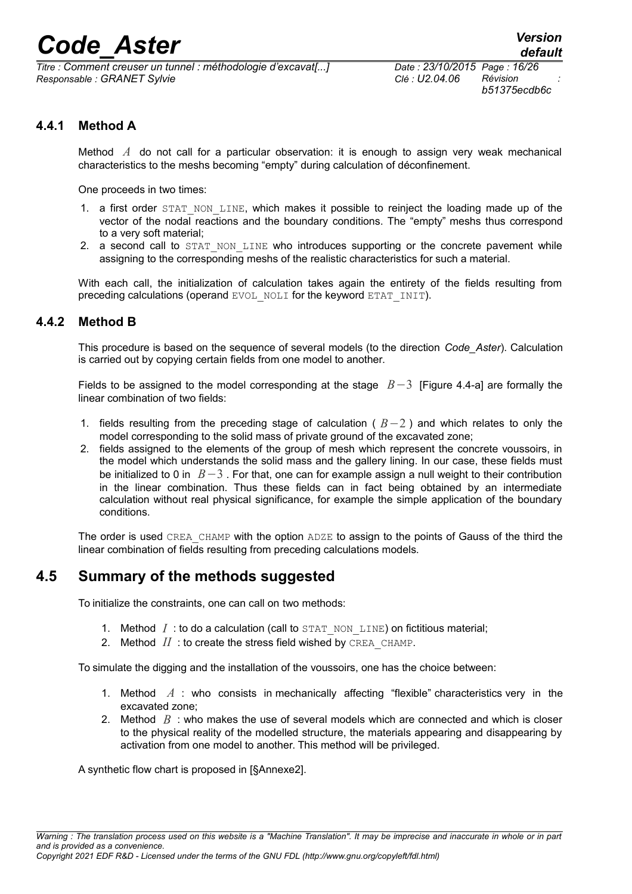*Titre : Comment creuser un tunnel : méthodologie d'excavat[...] Date : 23/10/2015 Page : 16/26 Responsable : GRANET Sylvie Clé : U2.04.06 Révision :*

*b51375ecdb6c*

### **4.4.1 Method A**

<span id="page-15-2"></span>Method *A* do not call for a particular observation: it is enough to assign very weak mechanical characteristics to the meshs becoming "empty" during calculation of déconfinement.

One proceeds in two times:

- 1. a first order STAT\_NON\_LINE, which makes it possible to reinject the loading made up of the vector of the nodal reactions and the boundary conditions. The "empty" meshs thus correspond to a very soft material;
- 2. a second call to STAT\_NON\_LINE who introduces supporting or the concrete pavement while assigning to the corresponding meshs of the realistic characteristics for such a material.

With each call, the initialization of calculation takes again the entirety of the fields resulting from preceding calculations (operand EVOL\_NOLI for the keyword ETAT\_INIT).

### **4.4.2 Method B**

<span id="page-15-1"></span>This procedure is based on the sequence of several models (to the direction *Code\_Aster*). Calculation is carried out by copying certain fields from one model to another.

Fields to be assigned to the model corresponding at the stage *B*−3 [Figure 4.4-a] are formally the linear combination of two fields:

- 1. fields resulting from the preceding stage of calculation ( *B*−2 ) and which relates to only the model corresponding to the solid mass of private ground of the excavated zone;
- 2. fields assigned to the elements of the group of mesh which represent the concrete voussoirs, in the model which understands the solid mass and the gallery lining. In our case, these fields must be initialized to 0 in *B*−3 . For that, one can for example assign a null weight to their contribution in the linear combination. Thus these fields can in fact being obtained by an intermediate calculation without real physical significance, for example the simple application of the boundary conditions.

The order is used CREA\_CHAMP with the option ADZE to assign to the points of Gauss of the third the linear combination of fields resulting from preceding calculations models.

### **4.5 Summary of the methods suggested**

<span id="page-15-0"></span>To initialize the constraints, one can call on two methods:

- 1. Method  $I:$  to do a calculation (call to  $STAT-NON-LINE)$  on fictitious material;
- 2. Method  $II$  : to create the stress field wished by CREA\_CHAMP.

To simulate the digging and the installation of the voussoirs, one has the choice between:

- 1. Method *A* : who consists in mechanically affecting "flexible" characteristics very in the excavated zone;
- 2. Method *B* : who makes the use of several models which are connected and which is closer to the physical reality of the modelled structure, the materials appearing and disappearing by activation from one model to another. This method will be privileged.

A synthetic flow chart is proposed in [§Annexe2].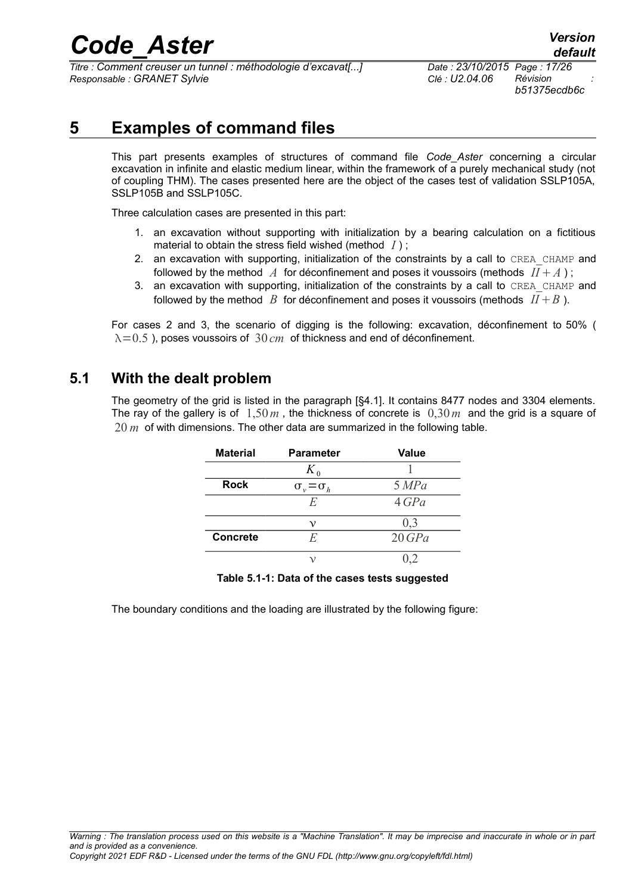*Titre : Comment creuser un tunnel : méthodologie d'excavat[...] Date : 23/10/2015 Page : 17/26 Responsable : GRANET Sylvie Clé : U2.04.06 Révision :*

*b51375ecdb6c*

## **5 Examples of command files**

<span id="page-16-1"></span>This part presents examples of structures of command file *Code\_Aster* concerning a circular excavation in infinite and elastic medium linear, within the framework of a purely mechanical study (not of coupling THM). The cases presented here are the object of the cases test of validation SSLP105A, SSLP105B and SSLP105C.

Three calculation cases are presented in this part:

- 1. an excavation without supporting with initialization by a bearing calculation on a fictitious material to obtain the stress field wished (method *I* ) ;
- 2. an excavation with supporting, initialization of the constraints by a call to CREA\_CHAMP and followed by the method  $\tilde{A}$  for déconfinement and poses it voussoirs (methods  $II + A$ );
- 3. an excavation with supporting, initialization of the constraints by a call to CREA\_CHAMP and followed by the method  $B$  for déconfinement and poses it voussoirs (methods  $I I + B$ ).

For cases 2 and 3, the scenario of digging is the following: excavation, déconfinement to 50% (  $\lambda$ =0.5 ), poses voussoirs of 30 *cm* of thickness and end of déconfinement.

### **5.1 With the dealt problem**

<span id="page-16-0"></span>The geometry of the grid is listed in the paragraph [§4.1]. It contains 8477 nodes and 3304 elements. The ray of the gallery is of 1,50*m* , the thickness of concrete is 0,30*m* and the grid is a square of 20 *m* of with dimensions. The other data are summarized in the following table.

| <b>Material</b> | <b>Parameter</b>          | <b>Value</b> |
|-----------------|---------------------------|--------------|
|                 |                           |              |
| <b>Rock</b>     | $\sigma_{v} = \sigma_{h}$ | 5 MPa        |
|                 | E                         | 4 GPa        |
|                 | ν                         | 0.3          |
| <b>Concrete</b> | E                         | 20 GPa       |
|                 |                           |              |

### **Table 5.1-1: Data of the cases tests suggested**

The boundary conditions and the loading are illustrated by the following figure: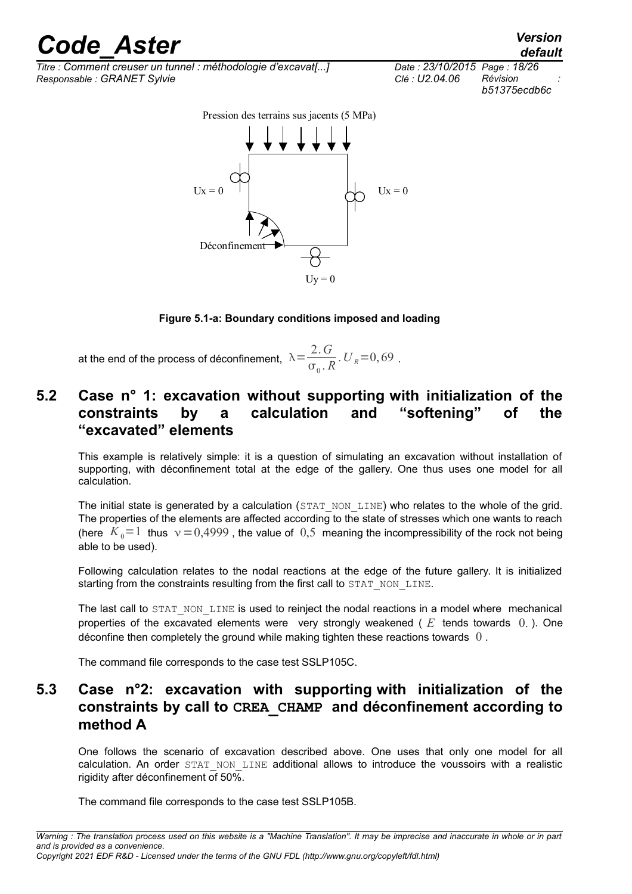*Titre : Comment creuser un tunnel : méthodologie d'excavat[...] Date : 23/10/2015 Page : 18/26 Responsable : GRANET Sylvie Clé : U2.04.06 Révision :*

*b51375ecdb6c*

 $Ux = 0$  $U_x = 0$ Déconfinem Pression des terrains sus jacents (5 MPa)

### **Figure 5.1-a: Boundary conditions imposed and loading**

 $Uy = 0$ 

at the end of the process of déconfinement,  $\lambda = \frac{2 \cdot G}{2 \cdot G}$  $\frac{2.0}{\sigma_0 R}$ .  $U_R = 0,69$ .

## <span id="page-17-1"></span>**5.2 Case n° 1: excavation without supporting with initialization of the constraints by a calculation and "softening" of the "excavated" elements**

This example is relatively simple: it is a question of simulating an excavation without installation of supporting, with déconfinement total at the edge of the gallery. One thus uses one model for all calculation.

The initial state is generated by a calculation (STAT\_NON\_LINE) who relates to the whole of the grid. The properties of the elements are affected according to the state of stresses which one wants to reach (here  $K_0=1$  thus  $v=0.4999$ , the value of  $0.5$  meaning the incompressibility of the rock not being able to be used).

Following calculation relates to the nodal reactions at the edge of the future gallery. It is initialized starting from the constraints resulting from the first call to STAT\_NON\_LINE.

The last call to STAT\_NON\_LINE is used to reinject the nodal reactions in a model where mechanical properties of the excavated elements were very strongly weakened ( *E* tends towards 0. ). One déconfine then completely the ground while making tighten these reactions towards  $\theta$ .

<span id="page-17-0"></span>The command file corresponds to the case test SSLP105C.

## **5.3 Case n°2: excavation with supporting with initialization of the constraints by call to CREA\_CHAMP and déconfinement according to method A**

One follows the scenario of excavation described above. One uses that only one model for all calculation. An order STAT NON LINE additional allows to introduce the voussoirs with a realistic rigidity after déconfinement of 50%.

The command file corresponds to the case test SSLP105B.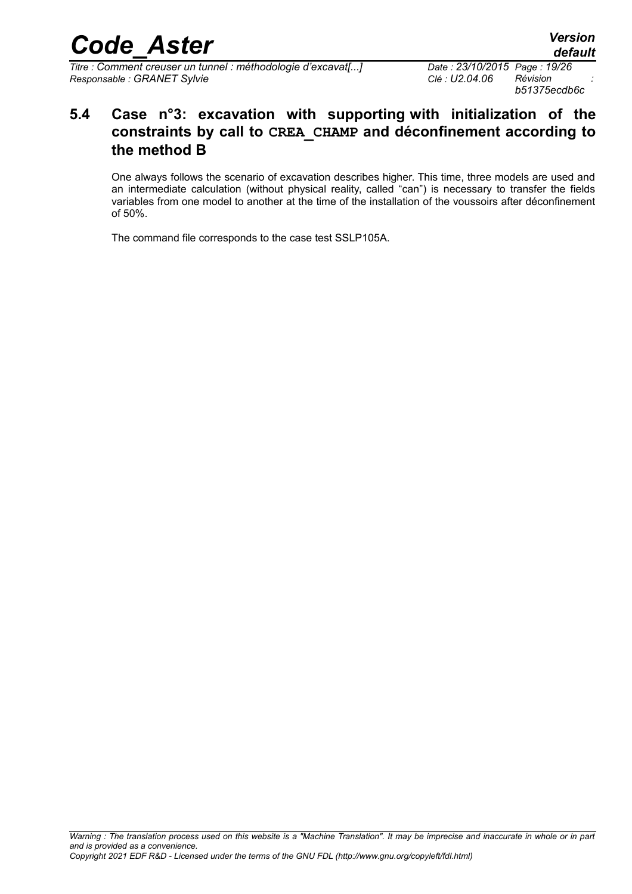*Titre : Comment creuser un tunnel : méthodologie d'excavat[...] Date : 23/10/2015 Page : 19/26 Responsable : GRANET Sylvie* 

*b51375ecdb6c*

## <span id="page-18-0"></span>**5.4 Case n°3: excavation with supporting with initialization of the constraints by call to CREA\_CHAMP and déconfinement according to the method B**

One always follows the scenario of excavation describes higher. This time, three models are used and an intermediate calculation (without physical reality, called "can") is necessary to transfer the fields variables from one model to another at the time of the installation of the voussoirs after déconfinement of 50%.

The command file corresponds to the case test SSLP105A.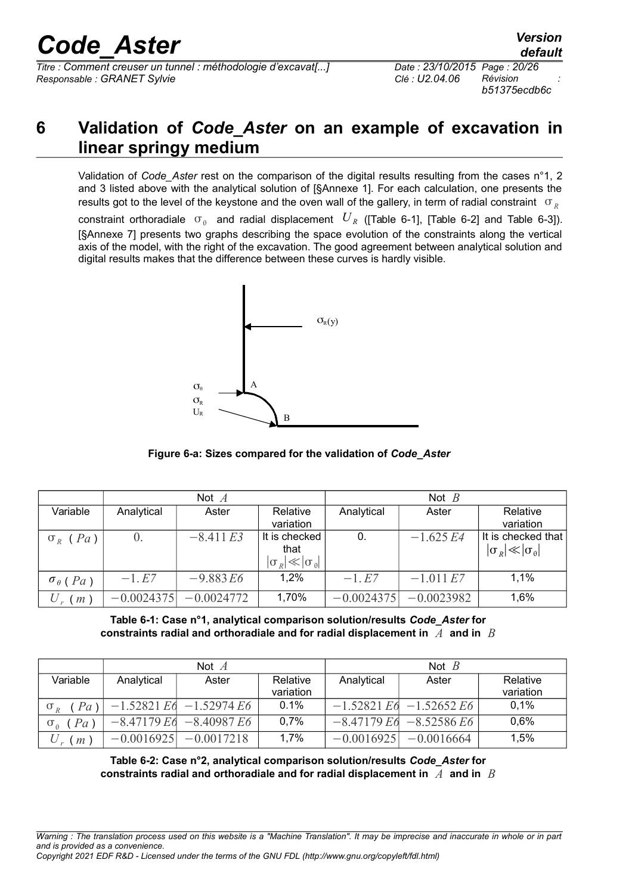*Titre : Comment creuser un tunnel : méthodologie d'excavat[...] Date : 23/10/2015 Page : 20/26 Responsable : GRANET Sylvie Clé : U2.04.06 Révision :*

## <span id="page-19-0"></span>**6 Validation of** *Code\_Aster* **on an example of excavation in linear springy medium**

Validation of *Code\_Aster* rest on the comparison of the digital results resulting from the cases n°1, 2 and 3 listed above with the analytical solution of [§Annexe 1]. For each calculation, one presents the results got to the level of the keystone and the oven wall of the gallery, in term of radial constraint  $\sigma_R$ constraint orthoradiale  $\sigma_{\theta}$  and radial displacement  $\,U_{\,R}\,$  ([Table 6-1], [Table 6-2] and Table 6-3]). [§Annexe 7] presents two graphs describing the space evolution of the constraints along the vertical axis of the model, with the right of the excavation. The good agreement between analytical solution and digital results makes that the difference between these curves is hardly visible.



**Figure 6-a: Sizes compared for the validation of** *Code\_Aster*

|                          | Not $A$      |              |                                                               | Not $B$      |              |                                                            |
|--------------------------|--------------|--------------|---------------------------------------------------------------|--------------|--------------|------------------------------------------------------------|
| Variable                 | Analytical   | Aster        | Relative<br>variation                                         | Analytical   | Aster        | Relative<br>variation                                      |
| $\sigma_R$ ( <i>Pa</i> ) | $\theta$ .   | $-8.411 E3$  | It is checked<br>that<br>$ \sigma_{R}  \ll  \sigma_{\theta} $ | 0.           | $-1.625E4$   | It is checked that<br>$ \sigma_{R}  \ll  \sigma_{\theta} $ |
| $\sigma_{\theta}$ ( Pa)  | $-1.E7$      | $-9.883E6$   | 1,2%                                                          | $-1.E7$      | $-1.011 E7$  | $1.1\%$                                                    |
| $m$ )                    | $-0.0024375$ | $-0.0024772$ | 1,70%                                                         | $-0.0024375$ | $-0.0023982$ | 1,6%                                                       |

**Table 6-1: Case n°1, analytical comparison solution/results** *Code\_Aster* **for constraints radial and orthoradiale and for radial displacement in** *A* **and in** *B*

|          | Not $A$      |                             |           | Not $B$      |                            |           |
|----------|--------------|-----------------------------|-----------|--------------|----------------------------|-----------|
| Variable | Analytical   | Aster                       | Relative  | Analytical   | Aster                      | Relative  |
|          |              |                             | variation |              |                            | variation |
| (Pa)     |              | $-1.52821$ Ed $-1.52974$ E6 | 0.1%      |              | $-1.52821 E6 - 1.52652 E6$ | 0.1%      |
| $Pa$ )   | $-8.47179E6$ | $-8.40987E6$                | 0.7%      |              | $-8.47179E6 - 8.52586E6$   | 0.6%      |
| $m$ )    | $-0.0016925$ | $-0.0017218$                | 1,7%      | $-0.0016925$ | $-0.0016664$               | 1,5%      |

**Table 6-2: Case n°2, analytical comparison solution/results** *Code\_Aster* **for constraints radial and orthoradiale and for radial displacement in** *A* **and in** *B*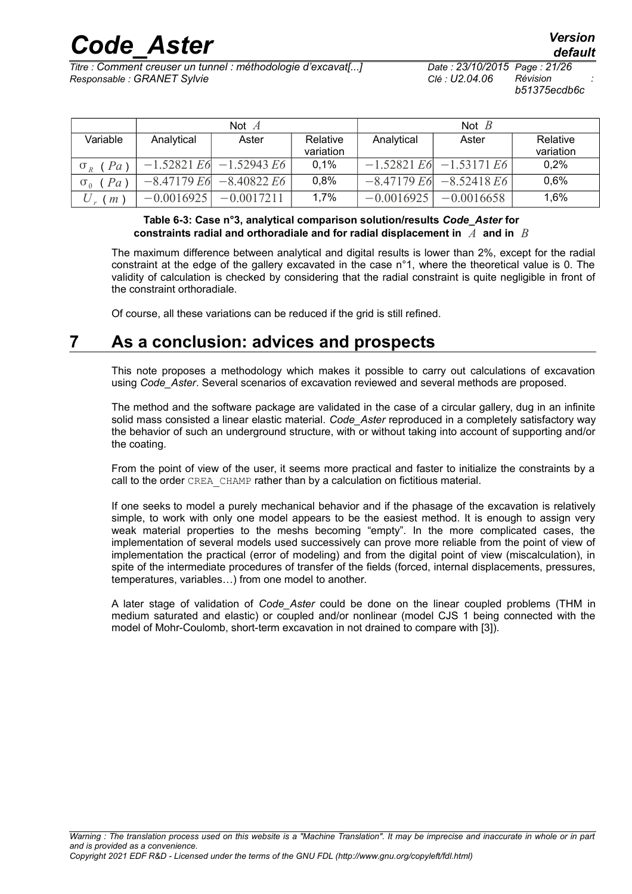*Titre : Comment creuser un tunnel : méthodologie d'excavat[...] Date : 23/10/2015 Page : 21/26 Responsable : GRANET Sylvie Clé : U2.04.06 Révision :*

*b51375ecdb6c*

|                                 | Not $\overline{A}$ |                            |                       | Not $B$      |                             |                       |
|---------------------------------|--------------------|----------------------------|-----------------------|--------------|-----------------------------|-----------------------|
| Variable                        | Analytical         | Aster                      | Relative<br>variation | Analytical   | Aster                       | Relative<br>variation |
| $\sigma_R$ ( <i>Pa</i> )        |                    | $-1.52821 E6 - 1.52943 E6$ | 0,1%                  |              | $-1.52821 E6$ $-1.53171 E6$ | 0,2%                  |
| $\sigma_{\theta}$ ( <i>Pa</i> ) |                    | $-8.47179 E6 - 8.40822 E6$ | 0,8%                  |              | $-8.47179 E6$ $-8.52418 E6$ | 0.6%                  |
| m                               | $-0.0016925$       | $-0.0017211$               | 1,7%                  | $-0.0016925$ | $-0.0016658$                | 1,6%                  |

### **Table 6-3: Case n°3, analytical comparison solution/results** *Code\_Aster* **for constraints radial and orthoradiale and for radial displacement in** *A* **and in** *B*

The maximum difference between analytical and digital results is lower than 2%, except for the radial constraint at the edge of the gallery excavated in the case n°1, where the theoretical value is 0. The validity of calculation is checked by considering that the radial constraint is quite negligible in front of the constraint orthoradiale.

<span id="page-20-0"></span>Of course, all these variations can be reduced if the grid is still refined.

## **7 As a conclusion: advices and prospects**

This note proposes a methodology which makes it possible to carry out calculations of excavation using *Code\_Aster*. Several scenarios of excavation reviewed and several methods are proposed.

The method and the software package are validated in the case of a circular gallery, dug in an infinite solid mass consisted a linear elastic material. *Code\_Aster* reproduced in a completely satisfactory way the behavior of such an underground structure, with or without taking into account of supporting and/or the coating.

From the point of view of the user, it seems more practical and faster to initialize the constraints by a call to the order CREA CHAMP rather than by a calculation on fictitious material.

If one seeks to model a purely mechanical behavior and if the phasage of the excavation is relatively simple, to work with only one model appears to be the easiest method. It is enough to assign very weak material properties to the meshs becoming "empty". In the more complicated cases, the implementation of several models used successively can prove more reliable from the point of view of implementation the practical (error of modeling) and from the digital point of view (miscalculation), in spite of the intermediate procedures of transfer of the fields (forced, internal displacements, pressures, temperatures, variables…) from one model to another.

A later stage of validation of *Code\_Aster* could be done on the linear coupled problems (THM in medium saturated and elastic) or coupled and/or nonlinear (model CJS 1 being connected with the model of Mohr-Coulomb, short-term excavation in not drained to compare with [3]).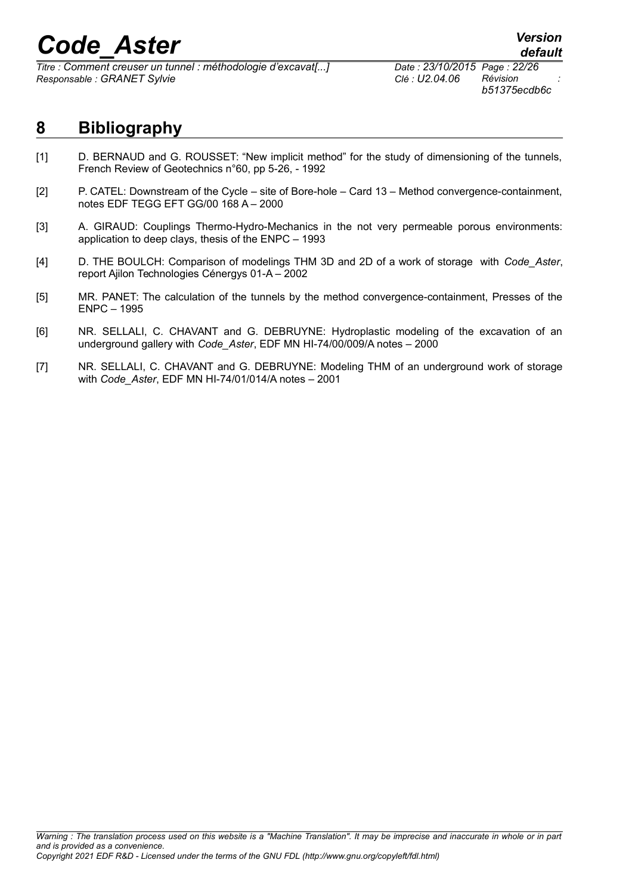*Titre : Comment creuser un tunnel : méthodologie d'excavat[...] Date : 23/10/2015 Page : 22/26 Responsable : GRANET Sylvie Clé : U2.04.06 Révision :*

*b51375ecdb6c*

## <span id="page-21-0"></span>**8 Bibliography**

- [1] D. BERNAUD and G. ROUSSET: "New implicit method" for the study of dimensioning of the tunnels, French Review of Geotechnics n°60, pp 5-26, - 1992
- [2] P. CATEL: Downstream of the Cycle site of Bore-hole Card 13 Method convergence-containment, notes EDF TEGG EFT GG/00 168 A – 2000
- [3] A. GIRAUD: Couplings Thermo-Hydro-Mechanics in the not very permeable porous environments: application to deep clays, thesis of the ENPC – 1993
- [4] D. THE BOULCH: Comparison of modelings THM 3D and 2D of a work of storage with *Code\_Aster*, report Ajilon Technologies Cénergys 01-A – 2002
- [5] MR. PANET: The calculation of the tunnels by the method convergence-containment, Presses of the ENPC – 1995
- [6] NR. SELLALI, C. CHAVANT and G. DEBRUYNE: Hydroplastic modeling of the excavation of an underground gallery with *Code\_Aster*, EDF MN HI-74/00/009/A notes – 2000
- [7] NR. SELLALI, C. CHAVANT and G. DEBRUYNE: Modeling THM of an underground work of storage with *Code\_Aster*, EDF MN HI-74/01/014/A notes – 2001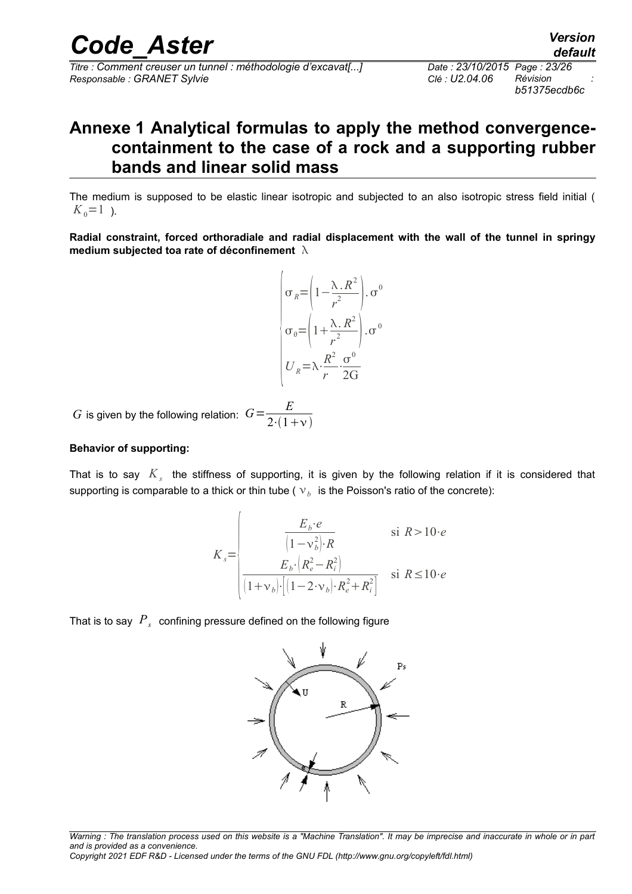*Titre : Comment creuser un tunnel : méthodologie d'excavat[...] Date : 23/10/2015 Page : 23/26 Responsable : GRANET Sylvie Clé : U2.04.06 Révision :*

*b51375ecdb6c*

## <span id="page-22-0"></span>**Annexe 1 Analytical formulas to apply the method convergencecontainment to the case of a rock and a supporting rubber bands and linear solid mass**

The medium is supposed to be elastic linear isotropic and subjected to an also isotropic stress field initial (  $K_0=1$  ).

**Radial constraint, forced orthoradiale and radial displacement with the wall of the tunnel in springy medium subjected toa rate of déconfinement** 



*G* is given by the following relation:  $G = \frac{E}{2\pi G}$  $2(1+\nu)$ 

#### **Behavior of supporting:**

That is to say  $K_s$  the stiffness of supporting, it is given by the following relation if it is considered that supporting is comparable to a thick or thin tube ( $\vee_b$  is the Poisson's ratio of the concrete):

$$
K_s = \begin{vmatrix} E_b \cdot e & \text{si } R > 10 \cdot e \\ \frac{1 - \nu_b^2 \cdot R}{\left(1 - \nu_b\right)^2 \cdot \left(R_e^2 - R_i^2\right)} & \text{si } R \le 10 \cdot e \\ \frac{E_b \cdot \left(R_e^2 - R_i^2\right)}{\left(1 + \nu_b\right) \cdot \left[\left(1 - 2 \cdot \nu_b\right) \cdot R_e^2 + R_i^2\right]} & \text{si } R \le 10 \cdot e \end{vmatrix}
$$

That is to say  $\left. P_{s}\right.$  confining pressure defined on the following figure

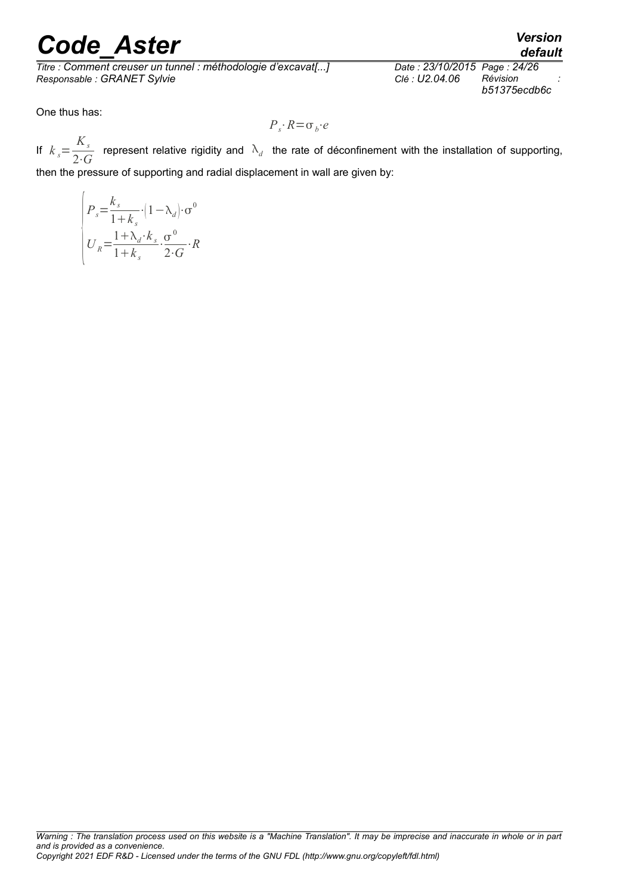*Titre : Comment creuser un tunnel : méthodologie d'excavat[...] Date : 23/10/2015 Page : 2-*<br>Responsable : GRANET Sylvie *Date : D2.04.06* Révision  $Responsible : GRANET$  Sylvie

*default*<br>*Date : 23/10/2015 Page : 24/26 b51375ecdb6c*

One thus has:

$$
P_s \cdot R = \sigma_b \cdot e
$$

If  $k_s =$ *Ks*  $\frac{X_s}{2 \cdot G}$  represent relative rigidity and  $\lambda_d$  the rate of déconfinement with the installation of supporting, then the pressure of supporting and radial displacement in wall are given by:

$$
\begin{cases}\nP_s = \frac{k_s}{1 + k_s} \cdot (1 - \lambda_d) \cdot \sigma^0 \\
U_R = \frac{1 + \lambda_d \cdot k_s}{1 + k_s} \cdot \frac{\sigma^0}{2 \cdot G} \cdot R\n\end{cases}
$$

*Warning : The translation process used on this website is a "Machine Translation". It may be imprecise and inaccurate in whole or in part and is provided as a convenience. Copyright 2021 EDF R&D - Licensed under the terms of the GNU FDL (http://www.gnu.org/copyleft/fdl.html)*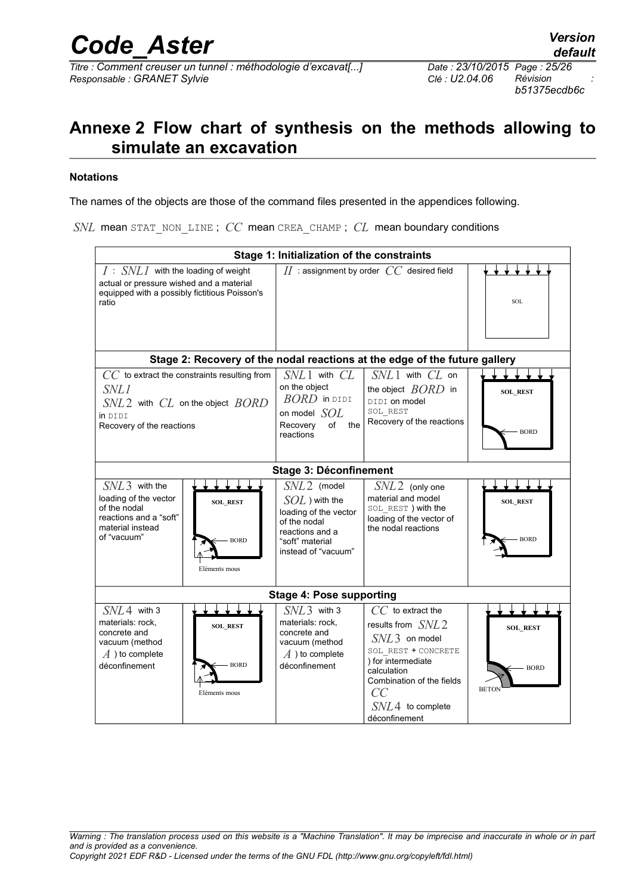*b51375ecdb6c*

## <span id="page-24-0"></span>**Annexe 2 Flow chart of synthesis on the methods allowing to simulate an excavation**

#### **Notations**

The names of the objects are those of the command files presented in the appendices following.

*SNL* mean STAT\_NON\_LINE ; *CC* mean CREA\_CHAMP ; *CL* mean boundary conditions

| Stage 1: Initialization of the constraints                                                                                                                               |                                                                                                                                         |                                                                                                                                                                                                     |                                                |  |  |  |  |
|--------------------------------------------------------------------------------------------------------------------------------------------------------------------------|-----------------------------------------------------------------------------------------------------------------------------------------|-----------------------------------------------------------------------------------------------------------------------------------------------------------------------------------------------------|------------------------------------------------|--|--|--|--|
| $I : SNL1$ with the loading of weight<br>actual or pressure wished and a material<br>equipped with a possibly fictitious Poisson's<br>ratio                              |                                                                                                                                         | $II$ : assignment by order $CC$ desired field                                                                                                                                                       | <b>SOL</b>                                     |  |  |  |  |
| Stage 2: Recovery of the nodal reactions at the edge of the future gallery                                                                                               |                                                                                                                                         |                                                                                                                                                                                                     |                                                |  |  |  |  |
| $CC$ to extract the constraints resulting from<br><i>SNL1</i><br>$SNL2$ with $CL$ on the object $BORD$<br>in DIDI<br>Recovery of the reactions                           | $SNL1$ with $CL$<br>on the object<br>$BORD$ in DIDI<br>on model $SOL$<br>Recovery<br>of<br>the<br>reactions                             | $SNL1$ with $CL$ on<br>the object $BORD$ in<br>DIDI on model<br>SOL REST<br>Recovery of the reactions                                                                                               | <b>SOL REST</b><br>- BORD                      |  |  |  |  |
|                                                                                                                                                                          | <b>Stage 3: Déconfinement</b>                                                                                                           |                                                                                                                                                                                                     |                                                |  |  |  |  |
| $SNL3$ with the<br>loading of the vector<br><b>SOL REST</b><br>of the nodal<br>reactions and a "soft"<br>material instead<br>of "vacuum"<br><b>BORD</b><br>Eléments mous | $SML2$ (model<br>$SOL$ ) with the<br>loading of the vector<br>of the nodal<br>reactions and a<br>"soft" material<br>instead of "vacuum" | $SNL2$ (only one<br>material and model<br>SOL REST) with the<br>loading of the vector of<br>the nodal reactions                                                                                     | <b>SOL REST</b><br><b>BORD</b>                 |  |  |  |  |
| <b>Stage 4: Pose supporting</b>                                                                                                                                          |                                                                                                                                         |                                                                                                                                                                                                     |                                                |  |  |  |  |
| $SNL4$ with 3<br>materials: rock,<br><b>SOL REST</b><br>concrete and<br>vacuum (method<br>$\overline{A}$ ) to complete<br><b>BORD</b><br>déconfinement<br>Eléments mous  | $SNL3$ with 3<br>materials: rock,<br>concrete and<br>vacuum (method<br>$\overline{A}$ ) to complete<br>déconfinement                    | $CC$ to extract the<br>results from $SNL2$<br>$SNL3$ on model<br>SOL REST + CONCRETE<br>) for intermediate<br>calculation<br>Combination of the fields<br>CC<br>$SNL4$ to complete<br>déconfinement | <b>SOL REST</b><br><b>BORD</b><br><b>BETON</b> |  |  |  |  |

*Warning : The translation process used on this website is a "Machine Translation". It may be imprecise and inaccurate in whole or in part and is provided as a convenience. Copyright 2021 EDF R&D - Licensed under the terms of the GNU FDL (http://www.gnu.org/copyleft/fdl.html)*